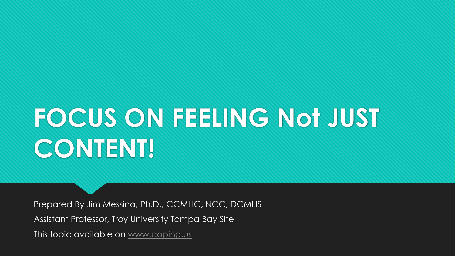# **FOCUS ON FEELING Not JUST CONTENT!**

Prepared By Jim Messina, Ph.D., CCMHC, NCC, DCMHS Assistant Professor, Troy University Tampa Bay Site This topic available on [www.coping.us](http://www.coping.us/)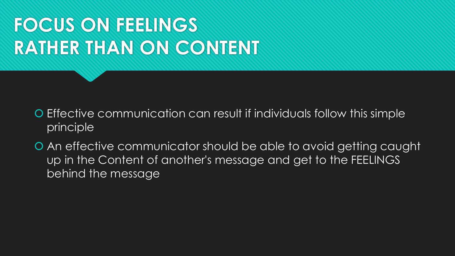# **FOCUS ON FEELINGS RATHER THAN ON CONTENT**

- Effective communication can result if individuals follow this simple principle
- An effective communicator should be able to avoid getting caught up in the Content of another's message and get to the FEELINGS behind the message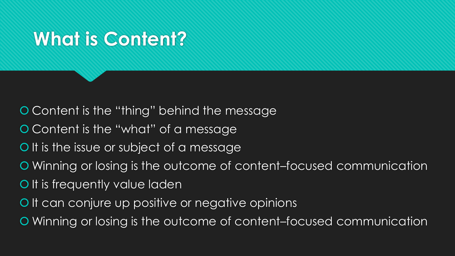### **What is Content?**

Content is the "thing" behind the message

- Content is the "what" of a message
- O It is the issue or subject of a message
- Winning or losing is the outcome of content–focused communication
- O It is frequently value laden
- O It can conjure up positive or negative opinions
- Winning or losing is the outcome of content–focused communication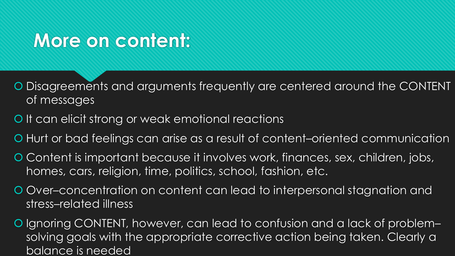#### **More on content:**

- Disagreements and arguments frequently are centered around the CONTENT of messages
- O It can elicit strong or weak emotional reactions
- Hurt or bad feelings can arise as a result of content–oriented communication
- O Content is important because it involves work, finances, sex, children, jobs, homes, cars, religion, time, politics, school, fashion, etc.
- Over–concentration on content can lead to interpersonal stagnation and stress–related illness
- O Ignoring CONTENT, however, can lead to confusion and a lack of problemsolving goals with the appropriate corrective action being taken. Clearly a balance is needed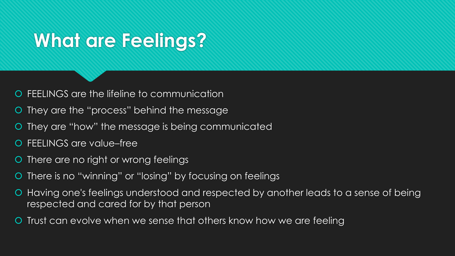### **What are Feelings?**

FEELINGS are the lifeline to communication

- They are the "process" behind the message
- They are "how" the message is being communicated
- FEELINGS are value–free
- There are no right or wrong feelings
- There is no "winning" or "losing" by focusing on feelings
- Having one's feelings understood and respected by another leads to a sense of being respected and cared for by that person
- Trust can evolve when we sense that others know how we are feeling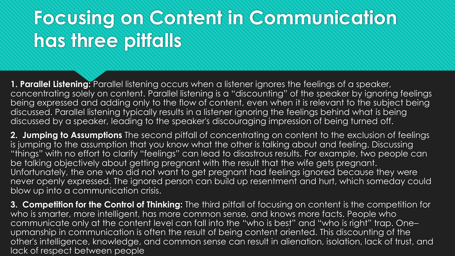## **Focusing on Content in Communication has three pitfalls**

**1. Parallel Listening:** Parallel listening occurs when a listener ignores the feelings of a speaker, concentrating solely on content. Parallel listening is a "discounting" of the speaker by ignoring feelings being expressed and adding only to the flow of content, even when it is relevant to the subject being discussed. Parallel listening typically results in a listener ignoring the feelings behind what is being discussed by a speaker, leading to the speaker's discouraging impression of being turned off.

**2. Jumping to Assumptions** The second pitfall of concentrating on content to the exclusion of feelings is jumping to the assumption that you know what the other is talking about and feeling. Discussing "things" with no effort to clarify "feelings" can lead to disastrous results. For example, two people can be talking objectively about getting pregnant with the result that the wife gets pregnant. Unfortunately, the one who did not want to get pregnant had feelings ignored because they were never openly expressed. The ignored person can build up resentment and hurt, which someday could blow up into a communication crisis.

**3. Competition for the Control of Thinking:** The third pitfall of focusing on content is the competition for who is smarter, more intelligent, has more common sense, and knows more facts. People who communicate only at the content level can fall into the "who is best" and "who is right" trap. One– upmanship in communication is often the result of being content oriented. This discounting of the other's intelligence, knowledge, and common sense can result in alienation, isolation, lack of trust, and lack of respect between people